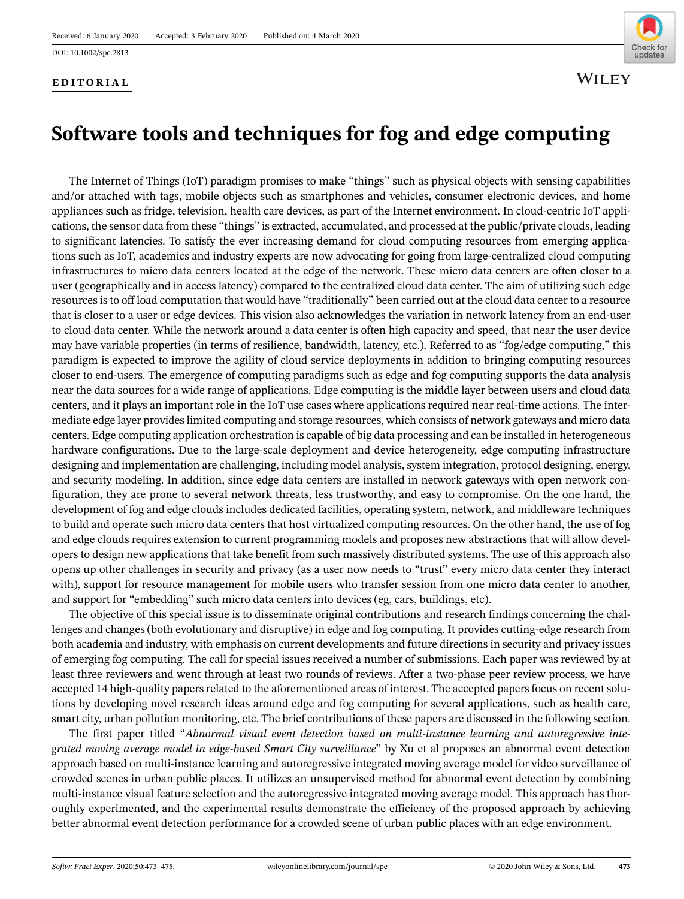DOI: 10.1002/spe.2813

## **EDITORIAL**



**WILEY** 

## **Software tools and techniques for fog and edge computing**

The Internet of Things (IoT) paradigm promises to make "things" such as physical objects with sensing capabilities and/or attached with tags, mobile objects such as smartphones and vehicles, consumer electronic devices, and home appliances such as fridge, television, health care devices, as part of the Internet environment. In cloud-centric IoT applications, the sensor data from these "things" is extracted, accumulated, and processed at the public/private clouds, leading to significant latencies. To satisfy the ever increasing demand for cloud computing resources from emerging applications such as IoT, academics and industry experts are now advocating for going from large-centralized cloud computing infrastructures to micro data centers located at the edge of the network. These micro data centers are often closer to a user (geographically and in access latency) compared to the centralized cloud data center. The aim of utilizing such edge resources is to off load computation that would have "traditionally" been carried out at the cloud data center to a resource that is closer to a user or edge devices. This vision also acknowledges the variation in network latency from an end-user to cloud data center. While the network around a data center is often high capacity and speed, that near the user device may have variable properties (in terms of resilience, bandwidth, latency, etc.). Referred to as "fog/edge computing," this paradigm is expected to improve the agility of cloud service deployments in addition to bringing computing resources closer to end-users. The emergence of computing paradigms such as edge and fog computing supports the data analysis near the data sources for a wide range of applications. Edge computing is the middle layer between users and cloud data centers, and it plays an important role in the IoT use cases where applications required near real-time actions. The intermediate edge layer provides limited computing and storage resources, which consists of network gateways and micro data centers. Edge computing application orchestration is capable of big data processing and can be installed in heterogeneous hardware configurations. Due to the large-scale deployment and device heterogeneity, edge computing infrastructure designing and implementation are challenging, including model analysis, system integration, protocol designing, energy, and security modeling. In addition, since edge data centers are installed in network gateways with open network configuration, they are prone to several network threats, less trustworthy, and easy to compromise. On the one hand, the development of fog and edge clouds includes dedicated facilities, operating system, network, and middleware techniques to build and operate such micro data centers that host virtualized computing resources. On the other hand, the use of fog and edge clouds requires extension to current programming models and proposes new abstractions that will allow developers to design new applications that take benefit from such massively distributed systems. The use of this approach also opens up other challenges in security and privacy (as a user now needs to "trust" every micro data center they interact with), support for resource management for mobile users who transfer session from one micro data center to another, and support for "embedding" such micro data centers into devices (eg, cars, buildings, etc).

The objective of this special issue is to disseminate original contributions and research findings concerning the challenges and changes (both evolutionary and disruptive) in edge and fog computing. It provides cutting-edge research from both academia and industry, with emphasis on current developments and future directions in security and privacy issues of emerging fog computing. The call for special issues received a number of submissions. Each paper was reviewed by at least three reviewers and went through at least two rounds of reviews. After a two-phase peer review process, we have accepted 14 high-quality papers related to the aforementioned areas of interest. The accepted papers focus on recent solutions by developing novel research ideas around edge and fog computing for several applications, such as health care, smart city, urban pollution monitoring, etc. The brief contributions of these papers are discussed in the following section.

The first paper titled "*Abnormal visual event detection based on multi-instance learning and autoregressive integrated moving average model in edge-based Smart City surveillance*" by Xu et al proposes an abnormal event detection approach based on multi-instance learning and autoregressive integrated moving average model for video surveillance of crowded scenes in urban public places. It utilizes an unsupervised method for abnormal event detection by combining multi-instance visual feature selection and the autoregressive integrated moving average model. This approach has thoroughly experimented, and the experimental results demonstrate the efficiency of the proposed approach by achieving better abnormal event detection performance for a crowded scene of urban public places with an edge environment.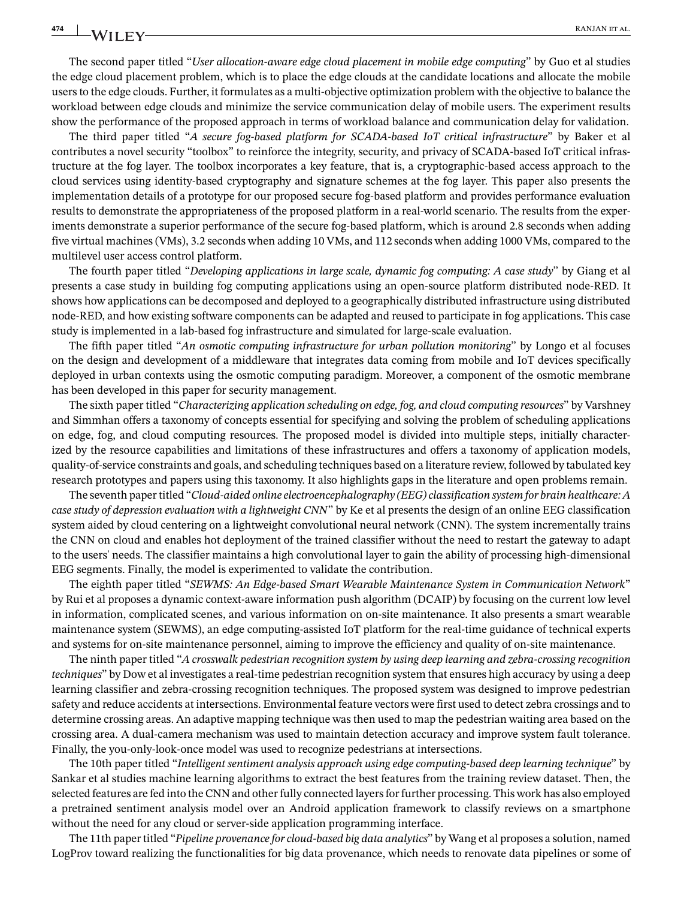The second paper titled "*User allocation-aware edge cloud placement in mobile edge computing*" by Guo et al studies the edge cloud placement problem, which is to place the edge clouds at the candidate locations and allocate the mobile users to the edge clouds. Further, it formulates as a multi-objective optimization problem with the objective to balance the workload between edge clouds and minimize the service communication delay of mobile users. The experiment results show the performance of the proposed approach in terms of workload balance and communication delay for validation.

The third paper titled "*A secure fog-based platform for SCADA-based IoT critical infrastructure*" by Baker et al contributes a novel security "toolbox" to reinforce the integrity, security, and privacy of SCADA-based IoT critical infrastructure at the fog layer. The toolbox incorporates a key feature, that is, a cryptographic-based access approach to the cloud services using identity-based cryptography and signature schemes at the fog layer. This paper also presents the implementation details of a prototype for our proposed secure fog-based platform and provides performance evaluation results to demonstrate the appropriateness of the proposed platform in a real-world scenario. The results from the experiments demonstrate a superior performance of the secure fog-based platform, which is around 2.8 seconds when adding five virtual machines (VMs), 3.2 seconds when adding 10 VMs, and 112 seconds when adding 1000 VMs, compared to the multilevel user access control platform.

The fourth paper titled "*Developing applications in large scale, dynamic fog computing: A case study*" by Giang et al presents a case study in building fog computing applications using an open-source platform distributed node-RED. It shows how applications can be decomposed and deployed to a geographically distributed infrastructure using distributed node-RED, and how existing software components can be adapted and reused to participate in fog applications. This case study is implemented in a lab-based fog infrastructure and simulated for large-scale evaluation.

The fifth paper titled "*An osmotic computing infrastructure for urban pollution monitoring*" by Longo et al focuses on the design and development of a middleware that integrates data coming from mobile and IoT devices specifically deployed in urban contexts using the osmotic computing paradigm. Moreover, a component of the osmotic membrane has been developed in this paper for security management.

The sixth paper titled "*Characterizing application scheduling on edge, fog, and cloud computing resources*" by Varshney and Simmhan offers a taxonomy of concepts essential for specifying and solving the problem of scheduling applications on edge, fog, and cloud computing resources. The proposed model is divided into multiple steps, initially characterized by the resource capabilities and limitations of these infrastructures and offers a taxonomy of application models, quality-of-service constraints and goals, and scheduling techniques based on a literature review, followed by tabulated key research prototypes and papers using this taxonomy. It also highlights gaps in the literature and open problems remain.

The seventh paper titled "*Cloud-aided online electroencephalography (EEG) classification system for brain healthcare: A case study of depression evaluation with a lightweight CNN*" by Ke et al presents the design of an online EEG classification system aided by cloud centering on a lightweight convolutional neural network (CNN). The system incrementally trains the CNN on cloud and enables hot deployment of the trained classifier without the need to restart the gateway to adapt to the users' needs. The classifier maintains a high convolutional layer to gain the ability of processing high-dimensional EEG segments. Finally, the model is experimented to validate the contribution.

The eighth paper titled "*SEWMS: An Edge-based Smart Wearable Maintenance System in Communication Network*" by Rui et al proposes a dynamic context-aware information push algorithm (DCAIP) by focusing on the current low level in information, complicated scenes, and various information on on-site maintenance. It also presents a smart wearable maintenance system (SEWMS), an edge computing-assisted IoT platform for the real-time guidance of technical experts and systems for on-site maintenance personnel, aiming to improve the efficiency and quality of on-site maintenance.

The ninth paper titled "*A crosswalk pedestrian recognition system by using deep learning and zebra-crossing recognition techniques*" by Dow et al investigates a real-time pedestrian recognition system that ensures high accuracy by using a deep learning classifier and zebra-crossing recognition techniques. The proposed system was designed to improve pedestrian safety and reduce accidents at intersections. Environmental feature vectors were first used to detect zebra crossings and to determine crossing areas. An adaptive mapping technique was then used to map the pedestrian waiting area based on the crossing area. A dual-camera mechanism was used to maintain detection accuracy and improve system fault tolerance. Finally, the you-only-look-once model was used to recognize pedestrians at intersections.

The 10th paper titled "*Intelligent sentiment analysis approach using edge computing-based deep learning technique*" by Sankar et al studies machine learning algorithms to extract the best features from the training review dataset. Then, the selected features are fed into the CNN and other fully connected layers for further processing. This work has also employed a pretrained sentiment analysis model over an Android application framework to classify reviews on a smartphone without the need for any cloud or server-side application programming interface.

The 11th paper titled "*Pipeline provenance for cloud-based big data analytics*" by Wang et al proposes a solution, named LogProv toward realizing the functionalities for big data provenance, which needs to renovate data pipelines or some of